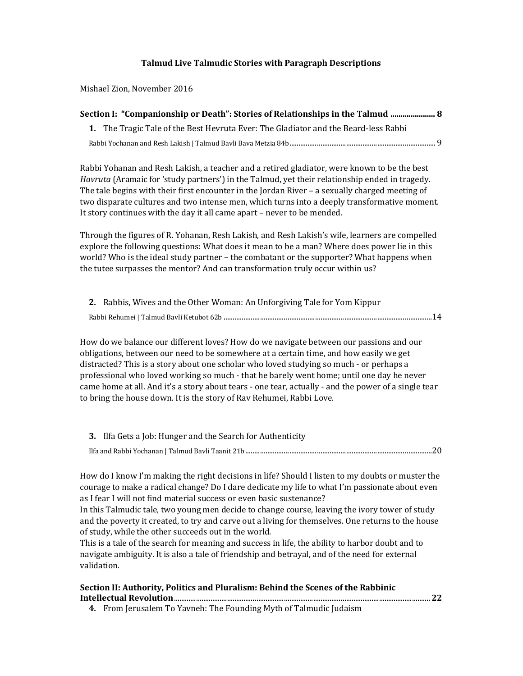## Talmud Live Talmudic Stories with Paragraph Descriptions

Mishael Zion, November 2016

| Section I: "Companionship or Death": Stories of Relationships in the Talmud  8      |  |
|-------------------------------------------------------------------------------------|--|
| 1. The Tragic Tale of the Best Hevruta Ever: The Gladiator and the Beard-less Rabbi |  |
|                                                                                     |  |

Rabbi Yohanan and Resh Lakish, a teacher and a retired gladiator, were known to be the best *Havruta* (Aramaic for 'study partners') in the Talmud, yet their relationship ended in tragedy. The tale begins with their first encounter in the Jordan River – a sexually charged meeting of two disparate cultures and two intense men, which turns into a deeply transformative moment. It story continues with the day it all came apart – never to be mended.

Through the figures of R. Yohanan, Resh Lakish, and Resh Lakish's wife, learners are compelled explore the following questions: What does it mean to be a man? Where does power lie in this world? Who is the ideal study partner – the combatant or the supporter? What happens when the tutee surpasses the mentor? And can transformation truly occur within us?

| 2. Rabbis, Wives and the Other Woman: An Unforgiving Tale for Yom Kippur |  |
|--------------------------------------------------------------------------|--|
|                                                                          |  |

How do we balance our different loves? How do we navigate between our passions and our obligations, between our need to be somewhere at a certain time, and how easily we get distracted? This is a story about one scholar who loved studying so much - or perhaps a professional who loved working so much - that he barely went home; until one day he never came home at all. And it's a story about tears - one tear, actually - and the power of a single tear to bring the house down. It is the story of Rav Rehumei, Rabbi Love.

| 3. Ilfa Gets a Job: Hunger and the Search for Authenticity |  |
|------------------------------------------------------------|--|
|                                                            |  |

How do I know I'm making the right decisions in life? Should I listen to my doubts or muster the courage to make a radical change? Do I dare dedicate my life to what I'm passionate about even as I fear I will not find material success or even basic sustenance?

In this Talmudic tale, two young men decide to change course, leaving the ivory tower of study and the poverty it created, to try and carve out a living for themselves. One returns to the house of study, while the other succeeds out in the world.

This is a tale of the search for meaning and success in life, the ability to harbor doubt and to navigate ambiguity. It is also a tale of friendship and betrayal, and of the need for external validation.

## Section II: Authority, Politics and Pluralism: Behind the Scenes of the Rabbinic Intellectual Revolution............................................................................................................................................22

4. From Jerusalem To Yavneh: The Founding Myth of Talmudic Judaism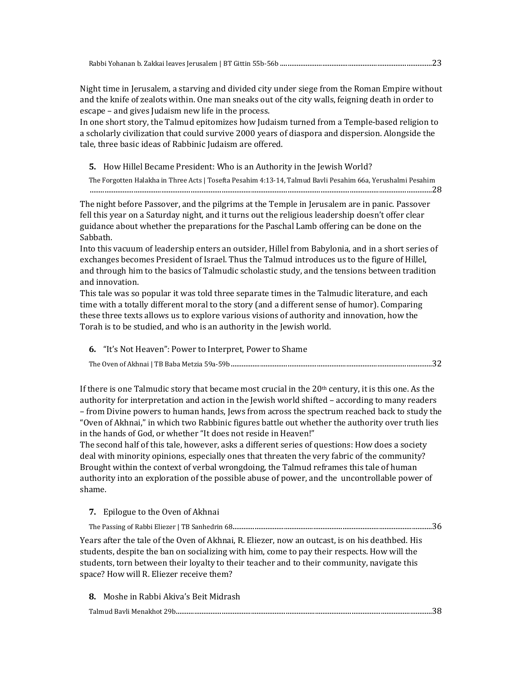Night time in Jerusalem, a starving and divided city under siege from the Roman Empire without and the knife of zealots within. One man sneaks out of the city walls, feigning death in order to escape – and gives Judaism new life in the process.

In one short story, the Talmud epitomizes how Judaism turned from a Temple-based religion to a scholarly civilization that could survive 2000 years of diaspora and dispersion. Alongside the tale, three basic ideas of Rabbinic Judaism are offered.

5. How Hillel Became President: Who is an Authority in the Jewish World?

The Forgotten Halakha in Three Acts | Tosefta Pesahim 4:13-14, Talmud Bavli Pesahim 66a, Yerushalmi Pesahim ...........................................................................................................................................................................................28

The night before Passover, and the pilgrims at the Temple in Jerusalem are in panic. Passover fell this year on a Saturday night, and it turns out the religious leadership doesn't offer clear guidance about whether the preparations for the Paschal Lamb offering can be done on the Sabbath.

Into this vacuum of leadership enters an outsider, Hillel from Babylonia, and in a short series of exchanges becomes President of Israel. Thus the Talmud introduces us to the figure of Hillel, and through him to the basics of Talmudic scholastic study, and the tensions between tradition and innovation.

This tale was so popular it was told three separate times in the Talmudic literature, and each time with a totally different moral to the story (and a different sense of humor). Comparing these three texts allows us to explore various visions of authority and innovation, how the Torah is to be studied, and who is an authority in the Jewish world.

6. "It's Not Heaven": Power to Interpret, Power to Shame

|--|

If there is one Talmudic story that became most crucial in the  $20<sup>th</sup>$  century, it is this one. As the authority for interpretation and action in the Jewish world shifted – according to many readers – from Divine powers to human hands, Jews from across the spectrum reached back to study the "Oven of Akhnai," in which two Rabbinic figures battle out whether the authority over truth lies in the hands of God, or whether "It does not reside in Heaven!"

The second half of this tale, however, asks a different series of questions: How does a society deal with minority opinions, especially ones that threaten the very fabric of the community? Brought within the context of verbal wrongdoing, the Talmud reframes this tale of human authority into an exploration of the possible abuse of power, and the uncontrollable power of shame.

7. Epilogue to the Oven of Akhnai

The Passing of Rabbi Eliezer | TB Sanhedrin 68.............................................................................................................36

Years after the tale of the Oven of Akhnai, R. Eliezer, now an outcast, is on his deathbed. His students, despite the ban on socializing with him, come to pay their respects. How will the students, torn between their loyalty to their teacher and to their community, navigate this space? How will R. Eliezer receive them?

8. Moshe in Rabbi Akiva's Beit Midrash

Talmud Bavli Menakhot 29b............................................................................................................................................38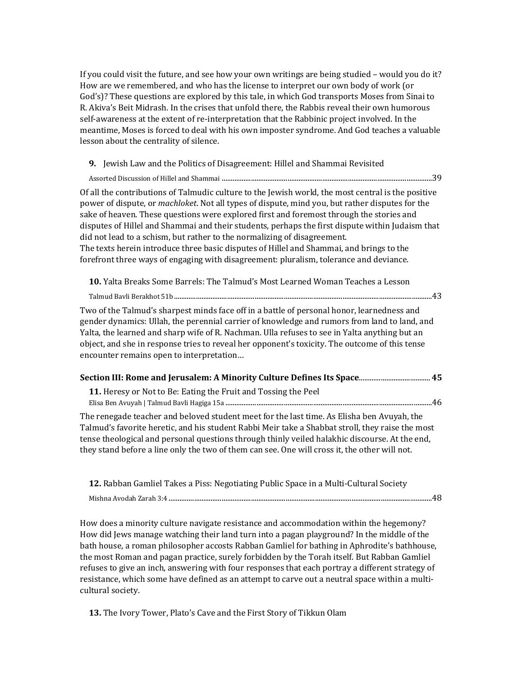If you could visit the future, and see how your own writings are being studied – would you do it? How are we remembered, and who has the license to interpret our own body of work (or God's)? These questions are explored by this tale, in which God transports Moses from Sinai to R. Akiva's Beit Midrash. In the crises that unfold there, the Rabbis reveal their own humorous self-awareness at the extent of re-interpretation that the Rabbinic project involved. In the meantime, Moses is forced to deal with his own imposter syndrome. And God teaches a valuable lesson about the centrality of silence.

9. Jewish Law and the Politics of Disagreement: Hillel and Shammai Revisited

Assorted Discussion of Hillel and Shammai ...................................................................................................................39

Of all the contributions of Talmudic culture to the Jewish world, the most central is the positive power of dispute, or *machloket*. Not all types of dispute, mind you, but rather disputes for the sake of heaven. These questions were explored first and foremost through the stories and disputes of Hillel and Shammai and their students, perhaps the first dispute within Judaism that did not lead to a schism, but rather to the normalizing of disagreement. The texts herein introduce three basic disputes of Hillel and Shammai, and brings to the forefront three ways of engaging with disagreement: pluralism, tolerance and deviance.

10. Yalta Breaks Some Barrels: The Talmud's Most Learned Woman Teaches a Lesson

Talmud Bavli Berakhot 51b.............................................................................................................................................43

Two of the Talmud's sharpest minds face off in a battle of personal honor, learnedness and gender dynamics: Ullah, the perennial carrier of knowledge and rumors from land to land, and Yalta, the learned and sharp wife of R. Nachman. Ulla refuses to see in Yalta anything but an object, and she in response tries to reveal her opponent's toxicity. The outcome of this tense encounter remains open to interpretation…

| 11. Heresy or Not to Be: Eating the Fruit and Tossing the Peel |     |
|----------------------------------------------------------------|-----|
|                                                                | .46 |

The renegade teacher and beloved student meet for the last time. As Elisha ben Avuyah, the Talmud's favorite heretic, and his student Rabbi Meir take a Shabbat stroll, they raise the most tense theological and personal questions through thinly veiled halakhic discourse. At the end, they stand before a line only the two of them can see. One will cross it, the other will not.

| 12. Rabban Gamliel Takes a Piss: Negotiating Public Space in a Multi-Cultural Society |  |
|---------------------------------------------------------------------------------------|--|
|                                                                                       |  |

How does a minority culture navigate resistance and accommodation within the hegemony? How did Jews manage watching their land turn into a pagan playground? In the middle of the bath house, a roman philosopher accosts Rabban Gamliel for bathing in Aphrodite's bathhouse, the most Roman and pagan practice, surely forbidden by the Torah itself. But Rabban Gamliel refuses to give an inch, answering with four responses that each portray a different strategy of resistance, which some have defined as an attempt to carve out a neutral space within a multicultural society.

13. The Ivory Tower, Plato's Cave and the First Story of Tikkun Olam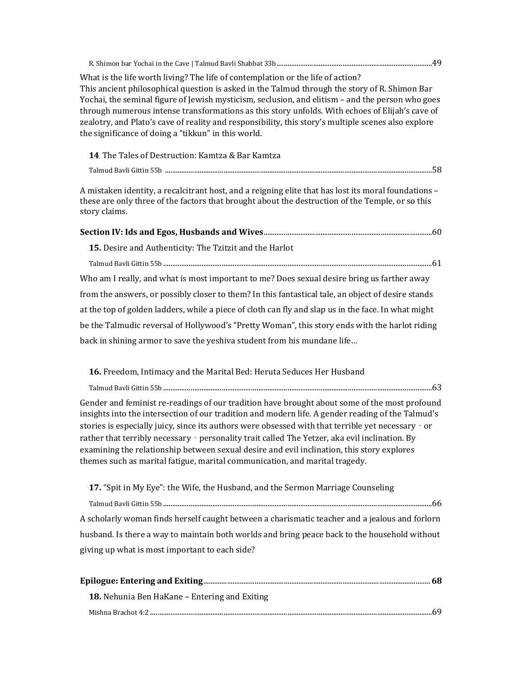| What is the life worth living? The life of contemplation or the life of action?<br>This ancient philosophical question is asked in the Talmud through the story of R. Shimon Bar<br>Yochai, the seminal figure of Jewish mysticism, seclusion, and elitism - and the person who goes<br>through numerous intense transformations as this story unfolds. With echoes of Elijah's cave of<br>zealotry, and Plato's cave of reality and responsibility, this story's multiple scenes also explore<br>the significance of doing a "tikkun" in this world.                                   |
|-----------------------------------------------------------------------------------------------------------------------------------------------------------------------------------------------------------------------------------------------------------------------------------------------------------------------------------------------------------------------------------------------------------------------------------------------------------------------------------------------------------------------------------------------------------------------------------------|
| 14. The Tales of Destruction: Kamtza & Bar Kamtza                                                                                                                                                                                                                                                                                                                                                                                                                                                                                                                                       |
|                                                                                                                                                                                                                                                                                                                                                                                                                                                                                                                                                                                         |
| A mistaken identity, a recalcitrant host, and a reigning elite that has lost its moral foundations -<br>these are only three of the factors that brought about the destruction of the Temple, or so this<br>story claims.                                                                                                                                                                                                                                                                                                                                                               |
|                                                                                                                                                                                                                                                                                                                                                                                                                                                                                                                                                                                         |
| 15. Desire and Authenticity: The Tzitzit and the Harlot                                                                                                                                                                                                                                                                                                                                                                                                                                                                                                                                 |
|                                                                                                                                                                                                                                                                                                                                                                                                                                                                                                                                                                                         |
| Who am I really, and what is most important to me? Does sexual desire bring us farther away                                                                                                                                                                                                                                                                                                                                                                                                                                                                                             |
| from the answers, or possibly closer to them? In this fantastical tale, an object of desire stands                                                                                                                                                                                                                                                                                                                                                                                                                                                                                      |
| at the top of golden ladders, while a piece of cloth can fly and slap us in the face. In what might                                                                                                                                                                                                                                                                                                                                                                                                                                                                                     |
| be the Talmudic reversal of Hollywood's "Pretty Woman", this story ends with the harlot riding                                                                                                                                                                                                                                                                                                                                                                                                                                                                                          |
| back in shining armor to save the yeshiva student from his mundane life                                                                                                                                                                                                                                                                                                                                                                                                                                                                                                                 |
| 16. Freedom, Intimacy and the Marital Bed: Heruta Seduces Her Husband                                                                                                                                                                                                                                                                                                                                                                                                                                                                                                                   |
|                                                                                                                                                                                                                                                                                                                                                                                                                                                                                                                                                                                         |
| Gender and feminist re-readings of our tradition have brought about some of the most profound<br>insights into the intersection of our tradition and modern life. A gender reading of the Talmud's<br>stories is especially juicy, since its authors were obsessed with that terrible yet necessary - or<br>rather that terribly necessary - personality trait called The Yetzer, aka evil inclination. By<br>examining the relationship between sexual desire and evil inclination, this story explores<br>themes such as marital fatigue, marital communication, and marital tragedy. |
| 17. "Spit in My Eye": the Wife, the Husband, and the Sermon Marriage Counseling                                                                                                                                                                                                                                                                                                                                                                                                                                                                                                         |
|                                                                                                                                                                                                                                                                                                                                                                                                                                                                                                                                                                                         |
| A scholarly woman finds herself caught between a charismatic teacher and a jealous and forlorn                                                                                                                                                                                                                                                                                                                                                                                                                                                                                          |
| husband. Is there a way to maintain both worlds and bring peace back to the household without                                                                                                                                                                                                                                                                                                                                                                                                                                                                                           |
| giving up what is most important to each side?                                                                                                                                                                                                                                                                                                                                                                                                                                                                                                                                          |
|                                                                                                                                                                                                                                                                                                                                                                                                                                                                                                                                                                                         |
| 18. Nehunia Ben HaKane - Entering and Exiting                                                                                                                                                                                                                                                                                                                                                                                                                                                                                                                                           |
|                                                                                                                                                                                                                                                                                                                                                                                                                                                                                                                                                                                         |
|                                                                                                                                                                                                                                                                                                                                                                                                                                                                                                                                                                                         |